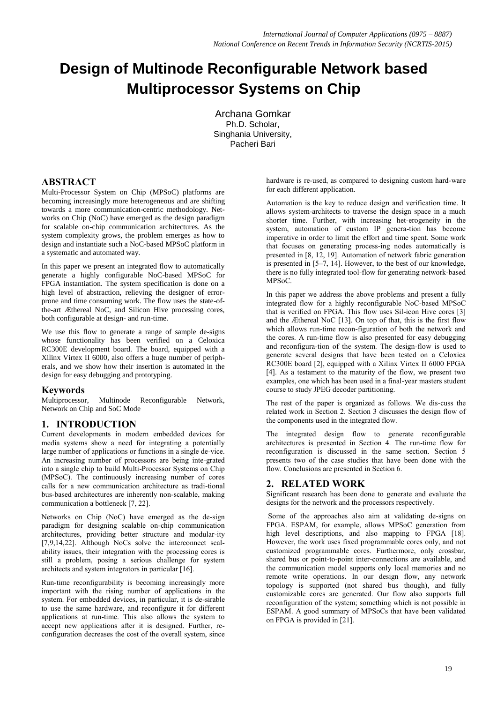# **Design of Multinode Reconfigurable Network based Multiprocessor Systems on Chip**

Archana Gomkar Ph.D. Scholar, Singhania University, Pacheri Bari

## **ABSTRACT**

Multi-Processor System on Chip (MPSoC) platforms are becoming increasingly more heterogeneous and are shifting towards a more communication-centric methodology. Networks on Chip (NoC) have emerged as the design paradigm for scalable on-chip communication architectures. As the system complexity grows, the problem emerges as how to design and instantiate such a NoC-based MPSoC platform in a systematic and automated way.

In this paper we present an integrated flow to automatically generate a highly configurable NoC-based MPSoC for FPGA instantiation. The system specification is done on a high level of abstraction, relieving the designer of errorprone and time consuming work. The flow uses the state-ofthe-art Æthereal NoC, and Silicon Hive processing cores, both configurable at design- and run-time.

We use this flow to generate a range of sample de-signs whose functionality has been verified on a Celoxica RC300E development board. The board, equipped with a Xilinx Virtex II 6000, also offers a huge number of peripherals, and we show how their insertion is automated in the design for easy debugging and prototyping.

### **Keywords**

Multiprocessor, Multinode Reconfigurable Network, Network on Chip and SoC Mode

## **1. INTRODUCTION**

Current developments in modern embedded devices for media systems show a need for integrating a potentially large number of applications or functions in a single de-vice. An increasing number of processors are being inte-grated into a single chip to build Multi-Processor Systems on Chip (MPSoC). The continuously increasing number of cores calls for a new communication architecture as tradi-tional bus-based architectures are inherently non-scalable, making communication a bottleneck [7, 22].

Networks on Chip (NoC) have emerged as the de-sign paradigm for designing scalable on-chip communication architectures, providing better structure and modular-ity [7,9,14,22]. Although NoCs solve the interconnect scalability issues, their integration with the processing cores is still a problem, posing a serious challenge for system architects and system integrators in particular [16].

Run-time reconfigurability is becoming increasingly more important with the rising number of applications in the system. For embedded devices, in particular, it is de-sirable to use the same hardware, and reconfigure it for different applications at run-time. This also allows the system to accept new applications after it is designed. Further, reconfiguration decreases the cost of the overall system, since

hardware is re-used, as compared to designing custom hard-ware for each different application.

Automation is the key to reduce design and verification time. It allows system-architects to traverse the design space in a much shorter time. Further, with increasing het-erogeneity in the system, automation of custom IP genera-tion has become imperative in order to limit the effort and time spent. Some work that focuses on generating process-ing nodes automatically is presented in [8, 12, 19]. Automation of network fabric generation is presented in [5–7, 14]. However, to the best of our knowledge, there is no fully integrated tool-flow for generating network-based MPSoC.

In this paper we address the above problems and present a fully integrated flow for a highly reconfigurable NoC-based MPSoC that is verified on FPGA. This flow uses Sil-icon Hive cores [3] and the Æthereal NoC [13]. On top of that, this is the first flow which allows run-time recon-figuration of both the network and the cores. A run-time flow is also presented for easy debugging and reconfigura-tion of the system. The design-flow is used to generate several designs that have been tested on a Celoxica RC300E board [2], equipped with a Xilinx Virtex II 6000 FPGA [4]. As a testament to the maturity of the flow, we present two examples, one which has been used in a final-year masters student course to study JPEG decoder partitioning.

The rest of the paper is organized as follows. We dis-cuss the related work in Section 2. Section 3 discusses the design flow of the components used in the integrated flow.

The integrated design flow to generate reconfigurable architectures is presented in Section 4. The run-time flow for reconfiguration is discussed in the same section. Section 5 presents two of the case studies that have been done with the flow. Conclusions are presented in Section 6.

## **2. RELATED WORK**

Significant research has been done to generate and evaluate the designs for the network and the processors respectively.

Some of the approaches also aim at validating de-signs on FPGA. ESPAM, for example, allows MPSoC generation from high level descriptions, and also mapping to FPGA [18]. However, the work uses fixed programmable cores only, and not customized programmable cores. Furthermore, only crossbar, shared bus or point-to-point inter-connections are available, and the communication model supports only local memories and no remote write operations. In our design flow, any network topology is supported (not shared bus though), and fully customizable cores are generated. Our flow also supports full reconfiguration of the system; something which is not possible in ESPAM. A good summary of MPSoCs that have been validated on FPGA is provided in [21].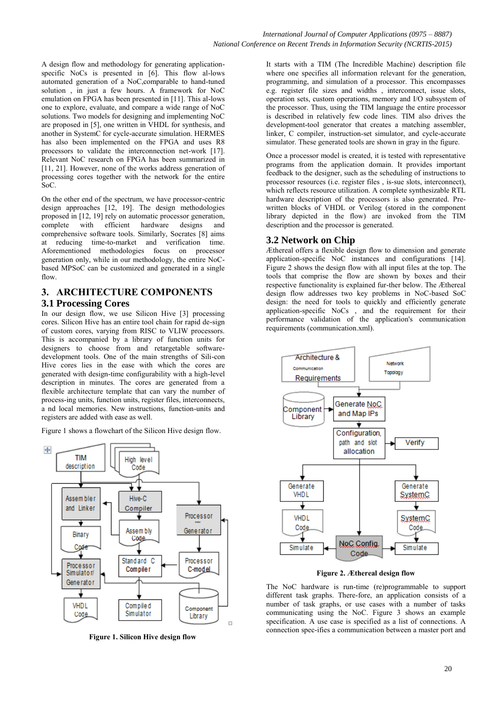A design flow and methodology for generating applicationspecific NoCs is presented in [6]. This flow al-lows automated generation of a NoC,comparable to hand-tuned solution , in just a few hours. A framework for NoC emulation on FPGA has been presented in [11]. This al-lows one to explore, evaluate, and compare a wide range of NoC solutions. Two models for designing and implementing NoC are proposed in [5], one written in VHDL for synthesis, and another in SystemC for cycle-accurate simulation. HERMES has also been implemented on the FPGA and uses R8 processors to validate the interconnection net-work [17]. Relevant NoC research on FPGA has been summarized in [11, 21]. However, none of the works address generation of processing cores together with the network for the entire SoC.

On the other end of the spectrum, we have processor-centric design approaches [12, 19]. The design methodologies proposed in [12, 19] rely on automatic processor generation,<br>complete with efficient hardware designs and complete with efficient hardware designs and comprehensive software tools. Similarly, Socrates [8] aims at reducing time-to-market and verification time. Aforementioned methodologies focus on processor generation only, while in our methodology, the entire NoCbased MPSoC can be customized and generated in a single flow

## **3. ARCHITECTURE COMPONENTS 3.1 Processing Cores**

In our design flow, we use Silicon Hive [3] processing cores. Silicon Hive has an entire tool chain for rapid de-sign of custom cores, varying from RISC to VLIW processors. This is accompanied by a library of function units for designers to choose from and retargetable softwaredevelopment tools. One of the main strengths of Sili-con Hive cores lies in the ease with which the cores are generated with design-time configurability with a high-level description in minutes. The cores are generated from a flexible architecture template that can vary the number of process-ing units, function units, register files, interconnects, a nd local memories. New instructions, function-units and registers are added with ease as well.

Figure 1 shows a flowchart of the Silicon Hive design flow.



**Figure 1. Silicon Hive design flow**

It starts with a TIM (The Incredible Machine) description file where one specifies all information relevant for the generation, programming, and simulation of a processor. This encompasses e.g. register file sizes and widths , interconnect, issue slots, operation sets, custom operations, memory and I/O subsystem of the processor. Thus, using the TIM language the entire processor is described in relatively few code lines. TIM also drives the development-tool generator that creates a matching assembler, linker, C compiler, instruction-set simulator, and cycle-accurate simulator. These generated tools are shown in gray in the figure.

Once a processor model is created, it is tested with representative programs from the application domain. It provides important feedback to the designer, such as the scheduling of instructions to processor resources (i.e. register files , is-sue slots, interconnect), which reflects resource utilization. A complete synthesizable RTL hardware description of the processors is also generated. Prewritten blocks of VHDL or Verilog (stored in the component library depicted in the flow) are invoked from the TIM description and the processor is generated.

## **3.2 Network on Chip**

Æthereal offers a flexible design flow to dimension and generate application-specific NoC instances and configurations [14]. Figure 2 shows the design flow with all input files at the top. The tools that comprise the flow are shown by boxes and their respective functionality is explained fur-ther below. The Æthereal design flow addresses two key problems in NoC-based SoC design: the need for tools to quickly and efficiently generate application-specific NoCs , and the requirement for their performance validation of the application's communication requirements (communication.xml).



**Figure 2. Æthereal design flow**

The NoC hardware is run-time (re)programmable to support different task graphs. There-fore, an application consists of a number of task graphs, or use cases with a number of tasks communicating using the NoC. Figure 3 shows an example specification. A use case is specified as a list of connections. A connection spec-ifies a communication between a master port and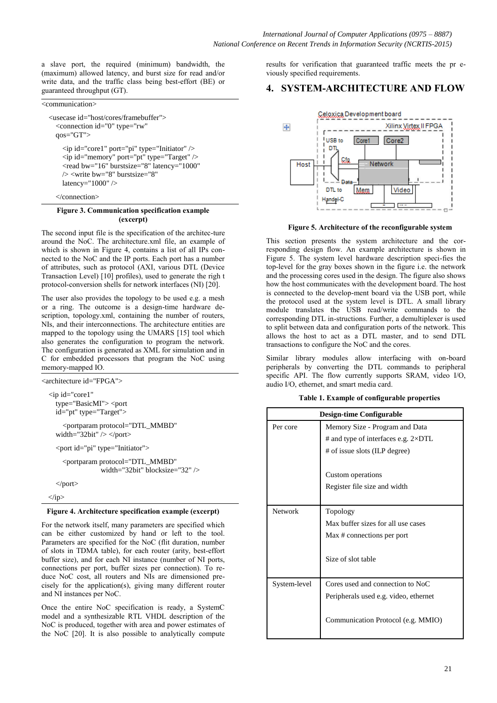a slave port, the required (minimum) bandwidth, the (maximum) allowed latency, and burst size for read and/or write data, and the traffic class being best-effort (BE) or guaranteed throughput (GT).

<communication>

<usecase id="host/cores/framebuffer"> <connection id="0" type="rw" qos="GT"> <ip id="core1" port="pi" type="Initiator" /> <ip id="memory" port="pt" type="Target" /> <read bw="16" burstsize="8" latency="1000" /> <write bw="8" burstsize="8" latency="1000" />

</connection>

#### **Figure 3. Communication specification example (excerpt)**

The second input file is the specification of the architec-ture around the NoC. The architecture.xml file, an example of which is shown in Figure 4, contains a list of all IPs connected to the NoC and the IP ports. Each port has a number of attributes, such as protocol (AXI, various DTL (Device Transaction Level) [10] profiles), used to generate the righ t protocol-conversion shells for network interfaces (NI) [20].

The user also provides the topology to be used e.g. a mesh or a ring. The outcome is a design-time hardware description, topology.xml, containing the number of routers, NIs, and their interconnections. The architecture entities are mapped to the topology using the UMARS [15] tool which also generates the configuration to program the network. The configuration is generated as XML for simulation and in C for embedded processors that program the NoC using memory-mapped IO.

<architecture id="FPGA">

 $\langle$ ip>

 $\langle$ ip id="core1" type="BasicMI"> <port id="pt" type="Target"> <portparam protocol="DTL\_MMBD" width="32bit"  $\ge$  </port> <port id="pi" type="Initiator"> <portparam protocol="DTL\_MMBD" width="32bit" blocksize="32" /> </port>

#### **Figure 4. Architecture specification example (excerpt)**

For the network itself, many parameters are specified which can be either customized by hand or left to the tool. Parameters are specified for the NoC (flit duration, number of slots in TDMA table), for each router (arity, best-effort buffer size), and for each NI instance (number of NI ports, connections per port, buffer sizes per connection). To reduce NoC cost, all routers and NIs are dimensioned precisely for the application(s), giving many different router and NI instances per NoC.

Once the entire NoC specification is ready, a SystemC model and a synthesizable RTL VHDL description of the NoC is produced, together with area and power estimates of the NoC [20]. It is also possible to analytically compute results for verification that guaranteed traffic meets the pr eviously specified requirements.

#### **4. SYSTEM-ARCHITECTURE AND FLOW**



**Figure 5. Architecture of the reconfigurable system**

This section presents the system architecture and the corresponding design flow. An example architecture is shown in Figure 5. The system level hardware description speci-fies the top-level for the gray boxes shown in the figure i.e. the network and the processing cores used in the design. The figure also shows how the host communicates with the development board. The host is connected to the develop-ment board via the USB port, while the protocol used at the system level is DTL. A small library module translates the USB read/write commands to the corresponding DTL in-structions. Further, a demultiplexer is used to split between data and configuration ports of the network. This allows the host to act as a DTL master, and to send DTL transactions to configure the NoC and the cores.

Similar library modules allow interfacing with on-board peripherals by converting the DTL commands to peripheral specific API. The flow currently supports SRAM, video I/O, audio I/O, ethernet, and smart media card.

|  |  | Table 1. Example of configurable properties |  |
|--|--|---------------------------------------------|--|
|--|--|---------------------------------------------|--|

|              | <b>Design-time Configurable</b>             |  |  |  |
|--------------|---------------------------------------------|--|--|--|
| Per core     | Memory Size - Program and Data              |  |  |  |
|              | # and type of interfaces e.g. $2\times DTL$ |  |  |  |
|              | # of issue slots (ILP degree)               |  |  |  |
|              | Custom operations                           |  |  |  |
|              | Register file size and width                |  |  |  |
| Network      | Topology                                    |  |  |  |
|              | Max buffer sizes for all use cases          |  |  |  |
|              | Max # connections per port                  |  |  |  |
|              | Size of slot table                          |  |  |  |
| System-level | Cores used and connection to NoC            |  |  |  |
|              | Peripherals used e.g. video, ethernet       |  |  |  |
|              | Communication Protocol (e.g. MMIO)          |  |  |  |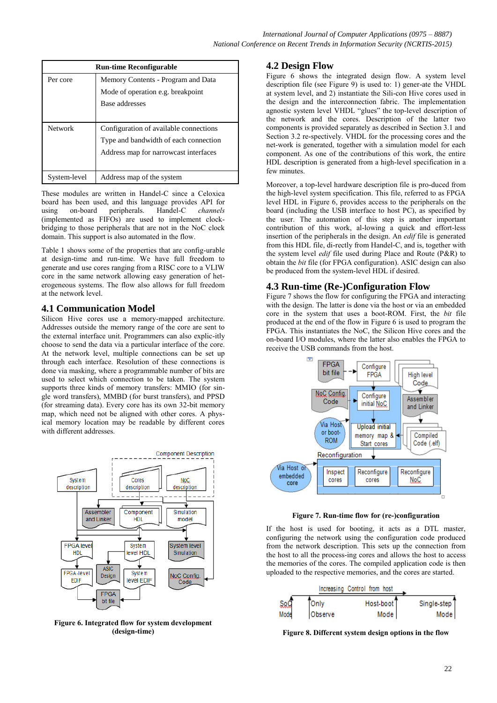| <b>Run-time Reconfigurable</b> |                                        |  |  |  |
|--------------------------------|----------------------------------------|--|--|--|
| Per core                       | Memory Contents - Program and Data     |  |  |  |
|                                | Mode of operation e.g. breakpoint      |  |  |  |
|                                | Base addresses                         |  |  |  |
|                                |                                        |  |  |  |
| Network                        | Configuration of available connections |  |  |  |
|                                | Type and bandwidth of each connection  |  |  |  |
|                                | Address map for narrowcast interfaces  |  |  |  |
|                                |                                        |  |  |  |
| System-level                   | Address map of the system              |  |  |  |

These modules are written in Handel-C since a Celoxica board has been used, and this language provides API for using on-board peripherals. Handel-C *channels* (implemented as FIFOs) are used to implement clockbridging to those peripherals that are not in the NoC clock domain. This support is also automated in the flow.

Table 1 shows some of the properties that are config-urable at design-time and run-time. We have full freedom to generate and use cores ranging from a RISC core to a VLIW core in the same network allowing easy generation of heterogeneous systems. The flow also allows for full freedom at the network level.

### **4.1 Communication Model**

Silicon Hive cores use a memory-mapped architecture. Addresses outside the memory range of the core are sent to the external interface unit. Programmers can also explic-itly choose to send the data via a particular interface of the core. At the network level, multiple connections can be set up through each interface. Resolution of these connections is done via masking, where a programmable number of bits are used to select which connection to be taken. The system supports three kinds of memory transfers: MMIO (for single word transfers), MMBD (for burst transfers), and PPSD (for streaming data). Every core has its own 32-bit memory map, which need not be aligned with other cores. A physical memory location may be readable by different cores with different addresses.



**Figure 6. Integrated flow for system development (design-time)**

## **4.2 Design Flow**

Figure 6 shows the integrated design flow. A system level description file (see Figure 9) is used to: 1) gener-ate the VHDL at system level, and 2) instantiate the Sili-con Hive cores used in the design and the interconnection fabric. The implementation agnostic system level VHDL "glues" the top-level description of the network and the cores. Description of the latter two components is provided separately as described in Section 3.1 and Section 3.2 re-spectively. VHDL for the processing cores and the net-work is generated, together with a simulation model for each component. As one of the contributions of this work, the entire HDL description is generated from a high-level specification in a few minutes.

Moreover, a top-level hardware description file is pro-duced from the high-level system specification. This file, referred to as FPGA level HDL in Figure 6, provides access to the peripherals on the board (including the USB interface to host PC), as specified by the user. The automation of this step is another important contribution of this work, al-lowing a quick and effort-less insertion of the peripherals in the design. An *edif* file is generated from this HDL file, di-rectly from Handel-C, and is, together with the system level *edif* file used during Place and Route (P&R) to obtain the *bit* file (for FPGA configuration). ASIC design can also be produced from the system-level HDL if desired.

## **4.3 Run-time (Re-)Configuration Flow**

Figure 7 shows the flow for configuring the FPGA and interacting with the design. The latter is done via the host or via an embedded core in the system that uses a boot-ROM. First, the *bit* file produced at the end of the flow in Figure 6 is used to program the FPGA. This instantiates the NoC, the Silicon Hive cores and the on-board I/O modules, where the latter also enables the FPGA to receive the USB commands from the host.



**Figure 7. Run-time flow for (re-)configuration**

If the host is used for booting, it acts as a DTL master, configuring the network using the configuration code produced from the network description. This sets up the connection from the host to all the process-ing cores and allows the host to access the memories of the cores. The compiled application code is then uploaded to the respective memories, and the cores are started.

|      |              | Increasing Control from host |                          |
|------|--------------|------------------------------|--------------------------|
| 50Q  | <b>Conly</b> | Host-boot <sup>T</sup>       | Single-step <sup>T</sup> |
| Mode | Observe      | Mode                         | Mode                     |

**Figure 8. Different system design options in the flow**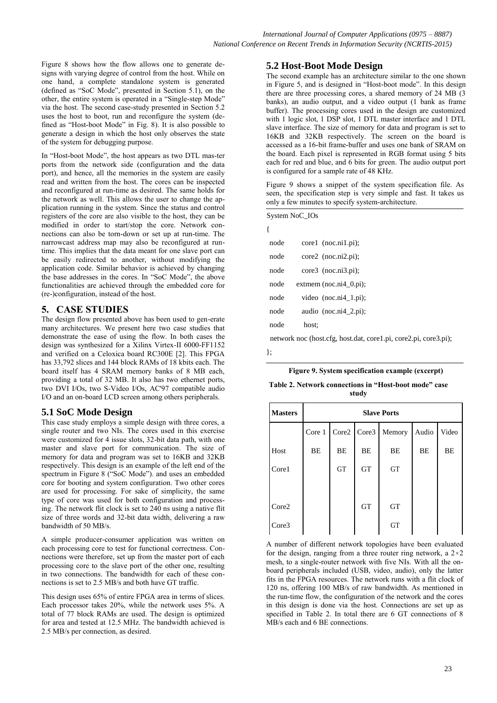Figure 8 shows how the flow allows one to generate designs with varying degree of control from the host. While on one hand, a complete standalone system is generated (defined as "SoC Mode", presented in Section 5.1), on the other, the entire system is operated in a "Single-step Mode" via the host. The second case-study presented in Section 5.2 uses the host to boot, run and reconfigure the system (defined as "Host-boot Mode" in Fig. 8). It is also possible to generate a design in which the host only observes the state of the system for debugging purpose.

In "Host-boot Mode", the host appears as two DTL mas-ter ports from the network side (configuration and the data port), and hence, all the memories in the system are easily read and written from the host. The cores can be inspected and reconfigured at run-time as desired. The same holds for the network as well. This allows the user to change the application running in the system. Since the status and control registers of the core are also visible to the host, they can be modified in order to start/stop the core. Network connections can also be torn-down or set up at run-time. The narrowcast address map may also be reconfigured at runtime. This implies that the data meant for one slave port can be easily redirected to another, without modifying the application code. Similar behavior is achieved by changing the base addresses in the cores. In "SoC Mode", the above functionalities are achieved through the embedded core for (re-)configuration, instead of the host.

### **5. CASE STUDIES**

The design flow presented above has been used to gen-erate many architectures. We present here two case studies that demonstrate the ease of using the flow. In both cases the design was synthesized for a Xilinx Virtex-II 6000-FF1152 and verified on a Celoxica board RC300E [2]. This FPGA has 33,792 slices and 144 block RAMs of 18 kbits each. The board itself has 4 SRAM memory banks of 8 MB each, providing a total of 32 MB. It also has two ethernet ports, two DVI I/Os, two S-Video I/Os, AC'97 compatible audio I/O and an on-board LCD screen among others peripherals.

### **5.1 SoC Mode Design**

This case study employs a simple design with three cores, a single router and two NIs. The cores used in this exercise were customized for 4 issue slots, 32-bit data path, with one master and slave port for communication. The size of memory for data and program was set to 16KB and 32KB respectively. This design is an example of the left end of the spectrum in Figure 8 ("SoC Mode"). and uses an embedded core for booting and system configuration. Two other cores are used for processing. For sake of simplicity, the same type of core was used for both configuration and processing. The network flit clock is set to 240 ns using a native flit size of three words and 32-bit data width, delivering a raw bandwidth of 50 MB/s.

A simple producer-consumer application was written on each processing core to test for functional correctness. Connections were therefore, set up from the master port of each processing core to the slave port of the other one, resulting in two connections. The bandwidth for each of these connections is set to 2.5 MB/s and both have GT traffic.

This design uses 65% of entire FPGA area in terms of slices. Each processor takes 20%, while the network uses 5%. A total of 77 block RAMs are used. The design is optimized for area and tested at 12.5 MHz. The bandwidth achieved is 2.5 MB/s per connection, as desired.

### **5.2 Host-Boot Mode Design**

The second example has an architecture similar to the one shown in Figure 5, and is designed in "Host-boot mode". In this design there are three processing cores, a shared memory of 24 MB (3 banks), an audio output, and a video output (1 bank as frame buffer). The processing cores used in the design are customized with 1 logic slot, 1 DSP slot, 1 DTL master interface and 1 DTL slave interface. The size of memory for data and program is set to 16KB and 32KB respectively. The screen on the board is accessed as a 16-bit frame-buffer and uses one bank of SRAM on the board. Each pixel is represented in RGB format using 5 bits each for red and blue, and 6 bits for green. The audio output port is configured for a sample rate of 48 KHz.

Figure 9 shows a snippet of the system specification file. As seen, the specification step is very simple and fast. It takes us only a few minutes to specify system-architecture.

| System NoC_IOs |       |                                                 |
|----------------|-------|-------------------------------------------------|
| ſ              |       |                                                 |
| node           |       | $core1$ (noc.ni1.pi);                           |
| node           |       | $core2$ (noc.ni2.pi);                           |
| node           |       | $core3$ (noc.ni3.pi);                           |
| node           |       | extmem (noc.ni4 $\_$ 0.pi);                     |
| node           |       | video $(noc.ni4_1.pi)$ ;                        |
| node           |       | audio (noc.ni4 $2$ .pi);                        |
| node           | host: |                                                 |
|                |       | naturals non (host afor host dat rough ni cough |

network noc (host.cfg, host.dat, core1.pi, core2.pi, core3.pi);

};

{

|  | Figure 9. System specification example (excerpt) |  |  |
|--|--------------------------------------------------|--|--|
|  |                                                  |  |  |

|  | Table 2. Network connections in "Host-boot mode" case |  |  |
|--|-------------------------------------------------------|--|--|
|  | study                                                 |  |  |

| <b>Masters</b> | <b>Slave Ports</b> |           |           |                        |       |       |
|----------------|--------------------|-----------|-----------|------------------------|-------|-------|
|                | Core 1             |           |           | Core2   Core3   Memory | Audio | Video |
| Host           | BE                 | BE        | BE        | BE                     | BE    | BE    |
| Core1          |                    | <b>GT</b> | <b>GT</b> | <b>GT</b>              |       |       |
|                |                    |           |           |                        |       |       |
| Core2          |                    |           | <b>GT</b> | <b>GT</b>              |       |       |
| Core3          |                    |           |           | <b>GT</b>              |       |       |

A number of different network topologies have been evaluated for the design, ranging from a three router ring network, a  $2 \times 2$ mesh, to a single-router network with five NIs. With all the onboard peripherals included (USB, video, audio), only the latter fits in the FPGA resources. The network runs with a flit clock of 120 ns, offering 100 MB/s of raw bandwidth. As mentioned in the run-time flow, the configuration of the network and the cores in this design is done via the host. Connections are set up as specified in Table 2. In total there are 6 GT connections of 8 MB/s each and 6 BE connections.